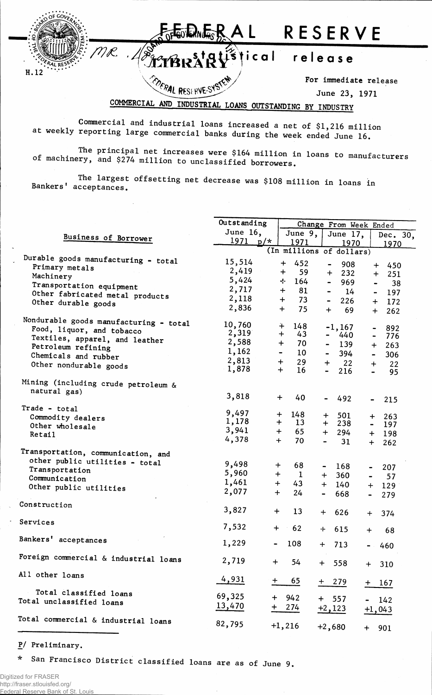

COMMERCIAL AND INDUSTRIAL LOANS OUTSTANDING BY INDUSTRY

Commercial and industrial loans increased a net of \$1,216 million at weekly reporting large commercial banks during the week ended June 16.

The principal net increases were \$164 million in loans to manufacturers of machinery, and \$274 million to unclassified borrowers.

The largest offsetting net decrease was \$108 million in loans in Bankers' acceptances.

|                                        | Outstanding    |           |                |              | Change From Week Ended       |                       |                |                                |  |  |
|----------------------------------------|----------------|-----------|----------------|--------------|------------------------------|-----------------------|----------------|--------------------------------|--|--|
|                                        | June 16,       |           |                | June 9,      |                              | June 17,              |                | Dec. 30,                       |  |  |
| Business of Borrower                   | $1971 p/*$     |           |                | 1971         |                              | 1970                  |                | 1970                           |  |  |
|                                        |                |           |                |              | (In millions of dollars)     |                       |                |                                |  |  |
| Durable goods manufacturing - total    | 15,514         |           |                |              |                              |                       |                |                                |  |  |
| Primary metals                         | 2,419          |           | $\div$         | 452          | $\hbox{\small -}$            | 908                   |                | $+$<br>450                     |  |  |
| Machinery                              |                |           | $\ddot{}$      | 59           |                              | 232<br>$+$            |                | 251<br>$+$                     |  |  |
| Transportation equipment               | 5,424          |           | -∤-            | 164          | $\qquad \qquad \blacksquare$ | 969                   |                | 38<br>$\overline{\phantom{0}}$ |  |  |
| Other fabricated metal products        | 2,717          |           | $+$            | 81           | $\blacksquare$               | 14                    |                | 197<br>$\blacksquare$          |  |  |
| Other durable goods                    | 2,118          |           | $+$            | 73           | $\qquad \qquad \blacksquare$ | 226                   | $\ddot{}$      | 172                            |  |  |
|                                        | 2,836          |           | $+$            | 75           | $\div$                       | 69                    | $+$            | 262                            |  |  |
| Nondurable goods manufacturing - total |                |           |                |              |                              |                       |                |                                |  |  |
| Food, liquor, and tobacco              | 10,760         |           | $+$            | 148          |                              | $-1,167$              |                | 892                            |  |  |
| Textiles, apparel, and leather         | 2,319          |           | $+$            | 43           |                              | 440<br>$\blacksquare$ | $\blacksquare$ | 776                            |  |  |
| Petroleum refining                     | 2,588          |           | $+$            | 70           |                              | 139                   | $+$            | 263                            |  |  |
| Chemicals and rubber                   | 1,162          |           | $\blacksquare$ | 10           |                              | 394                   | $\blacksquare$ | 306                            |  |  |
| Other nondurable goods                 | 2,813          |           | $+$            | 29           | $+$                          | 22                    | $+$            | 22                             |  |  |
|                                        | 1,878          |           | $+$            | 16           | $\blacksquare$               | 216                   |                | 95                             |  |  |
| Mining (including crude petroleum &    |                |           |                |              |                              |                       |                |                                |  |  |
| natural gas)                           |                |           |                |              |                              |                       |                |                                |  |  |
|                                        | 3,818          |           | $\pm$          | 40           |                              | 492                   |                | 215                            |  |  |
| Trade - total                          |                |           |                |              |                              |                       |                |                                |  |  |
| Commodity dealers                      | 9,497          |           | $+$            | 148          | $\ddag$                      | 501                   | $+$            | 263                            |  |  |
| Other wholesale                        | 1,178<br>3,941 |           | $+$            | 13           | $+$                          | 238                   |                | 197                            |  |  |
| <b>Retail</b>                          | 4,378          |           | $+$            | 65           | $+$                          | 294                   |                | $+ 198$                        |  |  |
|                                        |                |           | $+$            | 70           |                              | 31                    | $+$            | 262                            |  |  |
| Transportation, communication, and     |                |           |                |              |                              |                       |                |                                |  |  |
| other public utilities - total         | 9,498          | $\div$    |                | 68           | $\qquad \qquad \blacksquare$ | 168                   |                | 207                            |  |  |
| Transportation                         | 5,960          | $+$       |                | $\mathbf{1}$ | $+$                          | 360                   | -              |                                |  |  |
| Communication                          | 1,461          |           | $+$            | 43           | $+$                          | 140                   | -              | 57                             |  |  |
| Other public utilities                 | 2,077          | $+$       |                | 24           |                              |                       | $+$            | 129                            |  |  |
|                                        |                |           |                |              |                              | 668                   |                | 279                            |  |  |
| Construction                           | 3,827          | $\ddot{}$ |                | 13           | $+$                          |                       |                |                                |  |  |
|                                        |                |           |                |              |                              | 626                   | $+$            | 374                            |  |  |
| Services                               | 7,532          | $\div$    |                | 62           | -⊦                           | 615                   | $\div$         | 68                             |  |  |
| Bankers' acceptances                   |                |           |                |              |                              |                       |                |                                |  |  |
|                                        | 1,229          |           |                | 108          | $+$                          | 713                   | $\bullet$ .    | 460                            |  |  |
| Foreign commercial & industrial loans  |                |           |                |              |                              |                       |                |                                |  |  |
|                                        | 2,719          | $+$       |                | 54           | $+$                          | 558                   |                | $+ 310$                        |  |  |
| All other loans                        |                |           |                |              |                              |                       |                |                                |  |  |
|                                        | 4,931          | $+$       |                | 65           |                              | $+279$                |                | $+ 167$                        |  |  |
| Total classified loans                 | 69,325         | $+$       | 942            |              |                              |                       |                |                                |  |  |
| Total unclassified loans               |                |           |                |              |                              | $+ 557$               |                | $-142$                         |  |  |
|                                        | <u>13,470</u>  | $+$       | 274            |              |                              | $+2,123$              |                | $+1,043$                       |  |  |
| Cotal commercial & industrial loans    | 82,795         |           |                |              |                              |                       |                |                                |  |  |
|                                        |                |           | $+1,216$       |              |                              | $+2,680$              |                | $+ 901$                        |  |  |
|                                        |                |           |                |              |                              |                       |                |                                |  |  |

P/ Preliminary.

San Francisco District classified loans are as of June 9.  $\star$